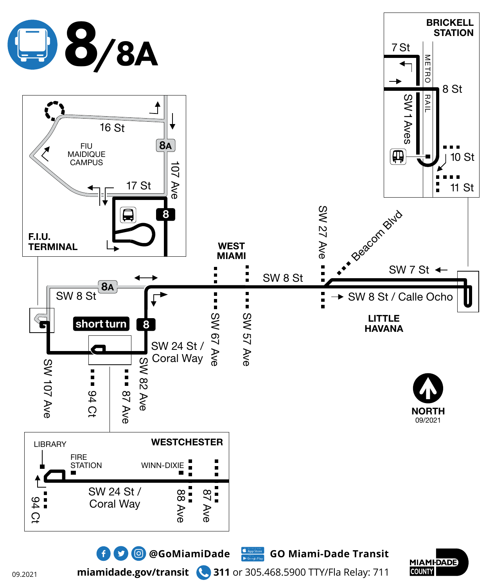

**miamidade.gov/transit 311** or 305.468.5900 TTY/Fla Relay: 711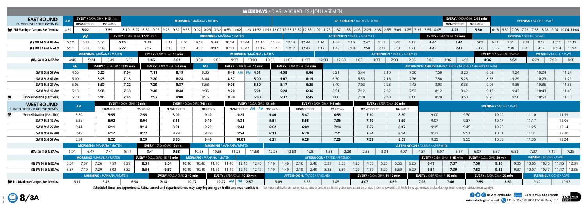





## **WEEKDAYS** / DIAS LABORABLES / JOU LASÈMEN

|                                                | <b>WEENDATS</b> / DIAJ EADONADELJ / JOO EAJEMEN<br><b>EVERY / CADA/CHAK 1-15 min</b><br>EVERY / CADA / CHAK 2-13 min<br><b>EASTBOUND</b><br><b>MORNING / MAÑANA / MATEN</b><br><b>EVENING / NOCHE / ASWÈ</b><br><b>AFTERNOON / TARDE / APREMIDI</b> |                       |                                                 |                                   |                                       |                              |                             |                                          |                                 |                                         |       |                                     |       |                                                     |                                     |                             |                                     |      |                                      |                                                                 |                                    |                                                  |                               |                                        |                               |                 |
|------------------------------------------------|-----------------------------------------------------------------------------------------------------------------------------------------------------------------------------------------------------------------------------------------------------|-----------------------|-------------------------------------------------|-----------------------------------|---------------------------------------|------------------------------|-----------------------------|------------------------------------------|---------------------------------|-----------------------------------------|-------|-------------------------------------|-------|-----------------------------------------------------|-------------------------------------|-----------------------------|-------------------------------------|------|--------------------------------------|-----------------------------------------------------------------|------------------------------------|--------------------------------------------------|-------------------------------|----------------------------------------|-------------------------------|-----------------|
| <b>RUMBO ESTE / DIREKSYON IS</b>               |                                                                                                                                                                                                                                                     | <b>FROM</b> /DESDE/DE | TO/HASTA/A                                      |                                   |                                       |                              |                             |                                          |                                 |                                         |       |                                     |       |                                                     |                                     |                             |                                     |      | <b>FROM</b> /DESDE/DE                | TO/HASTA/A                                                      |                                    |                                                  |                               |                                        |                               |                 |
| FIU Maidique Campus Bus Terminal               | 4:39                                                                                                                                                                                                                                                | 5:02                  | 7:59                                            |                                   |                                       |                              |                             |                                          |                                 |                                         |       |                                     |       |                                                     |                                     |                             |                                     |      |                                      | 4:25                                                            | 5:50                               | $6:18$ 6:39 7:08 7:26 7:58 8:28 9:04 10:04 11:04 |                               |                                        |                               |                 |
|                                                |                                                                                                                                                                                                                                                     | <b>AM</b>             |                                                 | EVERY / CADA / CHAK 12-15 min     |                                       |                              |                             |                                          | <b>MORNING / MAÑANA / MATEN</b> |                                         |       |                                     |       |                                                     | <b>AFTERNOON / TARDE / APREMIDI</b> |                             |                                     |      |                                      | <b>EVERY</b> / CADA/CHAK 15 min                                 |                                    |                                                  | <b>EVENING / NOCHE / ASWÈ</b> |                                        |                               |                 |
| (8) SW 24 St & 88 Ave                          | 5:10                                                                                                                                                                                                                                                | 5:37<br>6:00<br>6:25  |                                                 |                                   | 7:49                                  | 8:12                         | 8:40                        | 9:14<br>9:44                             | 10:14                           | 10:44<br>11:14                          | 11:44 | 12:14<br>12:44                      | 1:14  | 1:44                                                | 2:15<br>2:47                        | 3:18                        | 3:48                                | 4:18 | 4:40                                 | 5:40                                                            | 6:03                               | 6:52                                             | 7:36<br>8:38                  | 9:12                                   | 10:12                         | 11:12           |
| (8) SW 82 Ave & 24 St                          | 5:11                                                                                                                                                                                                                                                | 5:38                  | 6:02                                            | 6:27                              | 7:52                                  | 8:15                         | 8:43                        | 9:17<br>9:47                             | 10:17                           | $10:47$   11:17   11:47                 |       | 12:17<br>12:47                      | 1:17  | 1:47                                                | 2:18<br>2:50                        | 3:21                        | 3:51                                | 4:21 | 4:43                                 | 5:43                                                            | 6:06                               | 6:55                                             | 7:38<br>8:40                  | 9:14                                   |                               | $10:14$   11:14 |
|                                                |                                                                                                                                                                                                                                                     |                       | <b>MORNING / MAÑANA / MATEN</b>                 |                                   |                                       | EVERY / CADA / CHAK 15 min   |                             |                                          |                                 | <b>MORNING / MAÑANA / MATEN</b>         |       |                                     |       |                                                     |                                     |                             | <b>AFTERNOON / TARDE / APREMIDI</b> |      |                                      |                                                                 |                                    | EVERY / CADA / CHAK 15 min                       |                               |                                        | <b>EVENING / NOCHE / ASWÈ</b> |                 |
| (8A) SW 8 St & 87 Ave                          | 4:46                                                                                                                                                                                                                                                | 5:24                  | 5:49                                            | 6:16                              | 6:46                                  | 8:01                         |                             | 8:30<br>9:03                             |                                 | 10:03<br>9:33<br>10:33                  |       | 11:03<br>11:33                      | 12:03 | 12:33                                               | 1:03                                | 1:33                        | 2:03                                | 2:36 | 3:06                                 | 3:36<br>4:06                                                    | 4:36                               |                                                  | 5:51                          | 6:29                                   | 7:19                          | 8:09            |
|                                                | AM.                                                                                                                                                                                                                                                 |                       |                                                 | EVERY / CADA / CHAK 12-15 min     |                                       | EVERY / CADA / CHAK 7-8 min  |                             | <b>AM</b>                                |                                 | <b>EVERY / CADA / CHAK 15 min</b>       |       | <b>EVERY / CADA / CHAK 7-8 min</b>  |       |                                                     |                                     |                             |                                     |      |                                      | <b>AFTERNOON AND EVENING / TARDE Y NOCHE / APREMIDI AK ASWÈ</b> |                                    |                                                  |                               |                                        |                               |                 |
| SW 8 St & 57 Ave                               | 4:55                                                                                                                                                                                                                                                |                       | 5:20                                            | 7:04                              | 7:11                                  | 8:19                         |                             | 8:35                                     | 8:48 AM                         | PM 4:51                                 | 4:58  |                                     | 6:06  | 6:21                                                | 6:44                                |                             | 7:10                                | 7:30 | 7:50                                 | 8:20                                                            | 8:52                               |                                                  | 9:24                          | 10:24                                  |                               | 11:24           |
| SW 8 St & 42 Ave                               | 5:00                                                                                                                                                                                                                                                |                       | 5:25                                            | 7:13                              | 7:20                                  | 8:28                         |                             | 8:44                                     | 8:57                            | 5:00                                    | 5:07  |                                     | 6:15  | 6:30                                                | 6:53                                | 7:16                        |                                     | 7:36 | 7:56                                 | 8:26                                                            | 8:58                               |                                                  | 9:29                          | 10:29                                  |                               | 11:29           |
| SW 8 St & 27 Ave                               | 5:05                                                                                                                                                                                                                                                |                       | 5:30                                            | 7:22                              | 7:29                                  | 8:37                         |                             | 8:53                                     | 9:08                            | 5:10                                    | 5:17  |                                     | 6:25  | 6:40                                                | 7:03                                |                             | 7:23                                | 7:43 | 8:03                                 | 8:33                                                            | 9:05                               |                                                  | 9:35                          | 10:35                                  |                               | 11:35           |
| SW 8 St & 12 Ave                               | 5:13                                                                                                                                                                                                                                                |                       | 5:38                                            | 7:33                              | 7:40                                  | 8:48                         |                             | 9:05                                     | 9:20                            | 5:21                                    | 5:28  | 6:36                                |       | 6:51                                                | 7:12                                |                             | 7:32<br>7:52                        |      | 8:12                                 | 8:42                                                            | 9:13                               |                                                  | 9:43<br>9:50                  | 10:43                                  |                               | 11:43           |
| <b>Brickell Station (East Side)</b>            | 5:20                                                                                                                                                                                                                                                |                       | 5:45                                            | 7:45                              | 7:52<br>9:00                          |                              | 9:15                        | 9:30                                     |                                 | 5:30<br>5:37                            |       | 6:45                                | 7:00  | 7:20                                                | 7:40                                |                             | 8:00                                | 8:20 | 8:50                                 |                                                                 | 9:20                               |                                                  | 10:50                         |                                        | 11:50                         |                 |
|                                                |                                                                                                                                                                                                                                                     |                       |                                                 |                                   |                                       |                              |                             |                                          |                                 |                                         |       |                                     |       |                                                     |                                     |                             |                                     |      |                                      |                                                                 |                                    |                                                  |                               |                                        |                               |                 |
| <b>WESTBOUND</b>                               |                                                                                                                                                                                                                                                     | <b>AM</b>             |                                                 | <b>EVERY / CADA / CHAK 15 min</b> |                                       |                              | EVERY / CADA / CHAK 7-8 min |                                          |                                 | <b>EVERY / CADA / CHAK 15 min</b>       |       |                                     |       | EVERY / CADA/CHAK 7-8 min                           |                                     |                             | EVERY / CADA / CHAK 20 min          |      |                                      |                                                                 |                                    | <b>EVENING / NOCHE / ASWE</b>                    |                               |                                        |                               |                 |
| RUMBO OESTE / DIREKSYON IWÈS                   |                                                                                                                                                                                                                                                     |                       | <b>FROM/DESDE/DE</b>                            |                                   | TO/HASTA/A                            | FROM/DESDE/DE                |                             | TO/HASTA/A                               |                                 | <b>FROM/DESDE/DE AM   PM TO/HASTA/A</b> |       | <b>FROM/DESDE/DE</b>                |       | TO/HASTA/A                                          | <b>FROM/DESDE/DE</b>                |                             | TO/HASTA/A                          |      |                                      |                                                                 |                                    |                                                  |                               |                                        |                               |                 |
| <b>Brickell Station (East Side)</b>            |                                                                                                                                                                                                                                                     | 5:30                  | 5:55                                            |                                   | 7:55                                  | 8:02                         |                             | 9:10                                     |                                 | 9:25                                    | 5:40  | 5:47                                |       | 6:55                                                | 7:10                                |                             | 8:30                                |      | 9:00                                 | 9:30                                                            |                                    | 10:10                                            |                               | 11:10                                  | 11:59                         |                 |
| SW 7 St & 12 Ave                               |                                                                                                                                                                                                                                                     | 5:36                  | 6:02                                            |                                   | 8:04                                  | 8:11                         |                             | 9:19                                     |                                 | 9:34                                    | 5:51  | 5:58                                |       | 7:06                                                | 7:19                                |                             | 8:39                                |      | 9:07                                 | 9:37                                                            |                                    | 10:17                                            |                               | 11:17                                  | 12:06                         |                 |
| SW 8 St & 27 Ave                               |                                                                                                                                                                                                                                                     | 5:44                  | 6:11                                            |                                   | 8:14                                  | 8:21                         |                             | 9:29                                     |                                 | 9:44                                    | 6:02  | 6:09                                |       | 7:14                                                | 7:27                                |                             | 8:47                                |      | 9:15                                 | 9:45                                                            |                                    | 10:25                                            |                               | 11:25                                  | 12:14                         |                 |
| SW 8 St & 42 Ave                               |                                                                                                                                                                                                                                                     | 5:49                  | 6:17                                            |                                   | 8:22                                  | 8:29                         |                             | 9:39                                     |                                 | 9:54                                    | 6:13  | 6:20                                |       | 7:21                                                | 7:34                                |                             | 8:54                                |      | 9:21                                 | 9:51                                                            |                                    | 10:31                                            |                               | 11:31                                  | 12:20                         |                 |
| SW 8 St & 57 Ave                               |                                                                                                                                                                                                                                                     | 5:54                  | 6:22                                            |                                   | 8:29                                  | 8:36                         |                             | 9:46                                     |                                 | 10:01                                   | 6:21  | 6:28                                |       | 7:26                                                | 7:39                                |                             | 8:59                                |      | 9:25                                 | 9:55                                                            |                                    | 10:35                                            |                               | 11:35                                  | 12:24                         |                 |
|                                                |                                                                                                                                                                                                                                                     |                       | <b>MORNING / MAÑANA / MATEN</b>                 |                                   |                                       | EVERY / CADA / CHAK 15 min   |                             |                                          | <b>MORNING / MAÑANA / MATEN</b> |                                         |       |                                     |       |                                                     |                                     |                             |                                     |      | <b>AFTERNOON / TARDE / APREMIDI</b>  |                                                                 |                                    |                                                  |                               |                                        |                               |                 |
| (8A) SW 8 St & 87 Ave                          | 6:04                                                                                                                                                                                                                                                | 6:47                  | 7:41                                            | 8:11                              | 8:41                                  | 9:58                         |                             | 10:28<br>10:58                           | 11:28                           | 11:58                                   | 12:28 | 12:58                               | 1:28  | 1:58<br>2:28<br><b>AFTERNOON / TARDE / APREMIDI</b> | 2:58                                | 3:34                        | 4:07                                |      | 4:37<br>5:07                         | 5:37                                                            | 6:07                               | 6:37                                             | 6:52                          | 7:07                                   | 7:17                          | 7:25            |
|                                                | 6:34                                                                                                                                                                                                                                                | 7:07                  | <b>MORNING / MAÑANA / MATEN</b><br>7:26<br>7:59 | 8:29                              | EVERY / CADA / CHAK 15-18 min<br>8:51 | 9:54                         | 10:16                       | <b>MORNING / MAÑANA / MATEN</b><br>10:46 | 11:16   11:46                   | $12:16$ 12:46                           | 1:16  | 1:46<br>2:16                        | 2:46  | 3:21<br>3:55                                        | 4:25<br>4:55                        |                             |                                     | 6:25 | EVERY / CADA / CHAK 4-15 min<br>6:47 | 7:37                                                            | EVERY / CADA / CHAK 20 min<br>7:50 | 9:10                                             | 9:35                          | <b>EVENING / NOCHE / ASWÈ</b><br>10:05 | $10:45$ 11:45 12:34           |                 |
| (8) SW 24 St & 82 Ave<br>(8) SW 24 St & 88 Ave | 6:37                                                                                                                                                                                                                                                | 7:10                  |                                                 | 8:32                              | 8:54                                  | 9:57                         | 10:19                       | 10:49                                    | 11:19   11:49                   |                                         | 1:19  | 1:49<br>2:19                        |       | 3:59                                                | 4:59<br>4:29                        | 5:25<br>5:29                | 5:55<br>5:59                        | 6:29 | 6:51                                 | 7:39                                                            | 7:52                               | 9:12                                             | 9:37                          | 10:07<br>10:47                         |                               | 11:47 12:36     |
|                                                |                                                                                                                                                                                                                                                     |                       | 7:29<br>8:02<br><b>MORNING / MAÑANA / MATEN</b> |                                   |                                       | EVERY / CADA / CHAK 2-19 min |                             |                                          | EVERY / CADA / CHAK 10-20 min   | $12:19$ 12:49                           |       | <b>AFTERNOON / TARDE / APREMIDI</b> | 2:49  | 3:25                                                |                                     | EVERY / CADA/CHAK 11-19 min |                                     |      | EVERY / CADA / CHAK 1-10 min         |                                                                 | EVERY / CADA / CHAK 20 min         |                                                  |                               |                                        | <b>EVENING / NOCHE / ASWÈ</b> |                 |

Scheduled times are approximate. Actual arrival and departure times may vary depending on traffic and road conditions. | Las horas publicadas son aproximadas, pues dependen del trafico y otras condiciones de las vias. | Or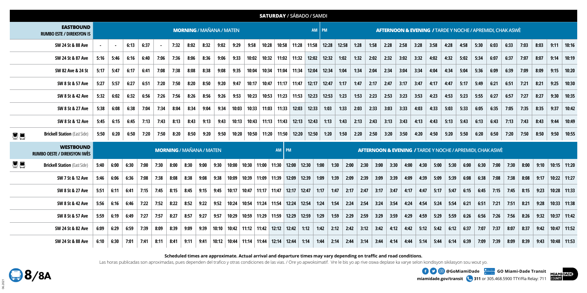|           |                                                         |                                          |      |      |      |      |      |                                 |      |       |                         |       | <b>SATURDAY / SÁBADO / SAMDI</b>      |                         |       |       |                                                                      |       |       |      |      |      |      |      |      |      |      |      |                                                           |      |      |      |      |      |               |
|-----------|---------------------------------------------------------|------------------------------------------|------|------|------|------|------|---------------------------------|------|-------|-------------------------|-------|---------------------------------------|-------------------------|-------|-------|----------------------------------------------------------------------|-------|-------|------|------|------|------|------|------|------|------|------|-----------------------------------------------------------|------|------|------|------|------|---------------|
|           | <b>EASTBOUND</b><br><b>RUMBO ESTE / DIREKSYON IS</b>    | <b>MORNING / MAÑANA / MATEN</b><br>AM PM |      |      |      |      |      |                                 |      |       |                         |       |                                       |                         |       |       | <b>AFTERNOON &amp; EVENING / TARDE Y NOCHE / APREMIDI, CHAK ASWÈ</b> |       |       |      |      |      |      |      |      |      |      |      |                                                           |      |      |      |      |      |               |
|           | SW 24 St & 88 Ave                                       |                                          |      | 6:13 | 6:37 |      | 7:32 | 8:02                            | 8:32 | 9:02  | 9:29                    | 9:58  | 10:28                                 | 10:58                   | 11:28 |       | 11:58                                                                | 12:28 | 12:58 | 1:28 | 1:58 | 2:28 | 2:58 | 3:28 | 3:58 |      | 4:28 | 4:58 | 5:30                                                      | 6:03 | 6:33 | 7:03 | 8:03 | 9:11 | 10:16         |
|           | SW 24 St & 87 Ave                                       | 5:16                                     | 5:46 | 6:16 | 6:40 | 7:06 | 7:36 | 8:06                            | 8:36 | 9:06  | 9:33                    | 10:02 |                                       | $10:32$   11:02   11:32 |       |       | 12:02                                                                | 12:32 | 1:02  | 1:32 | 2:02 | 2:32 | 3:02 | 3:32 | 4:02 |      | 4:32 | 5:02 | 5:34                                                      | 6:07 | 6:37 | 7:07 | 8:07 | 9:14 | 10:19         |
|           | SW 82 Ave & 24 St                                       | 5:17                                     | 5:47 | 6:17 | 6:41 | 7:08 | 7:38 | 8:08                            | 8:38 | 9:08  | 9:35                    | 10:04 |                                       | $10:34$   11:04         | 11:34 |       | 12:04                                                                | 12:34 | 1:04  | 1:34 | 2:04 | 2:34 | 3:04 | 3:34 | 4:04 |      | 4:34 | 5:04 | 5:36                                                      | 6:09 | 6:39 | 7:09 | 8:09 | 9:15 | 10:20         |
|           | SW 8 St & 57 Ave                                        | 5:27                                     | 5:57 | 6:27 | 6:51 | 7:20 | 7:50 | 8:20                            | 8:50 | 9:20  | 9:47                    | 10:17 | 10:47                                 | 11:17                   | 11:47 |       | 12:17                                                                | 12:47 | 1:17  | 1:47 | 2:17 | 2:47 | 3:17 | 3:47 | 4:17 |      | 4:47 | 5:17 | 5:49                                                      | 6:21 | 6:51 | 7:21 | 8:21 | 9:25 | 10:30         |
|           | SW 8 St & 42 Ave                                        | 5:32                                     | 6:02 | 6:32 | 6:56 | 7:26 | 7:56 | 8:26                            | 8:56 | 9:26  | 9:53                    | 10:23 | 10:53                                 | 11:23                   | 11:53 |       | 12:23                                                                | 12:53 | 1:23  | 1:53 | 2:23 | 2:53 | 3:23 | 3:53 | 4:23 |      | 4:53 | 5:23 | 5:55                                                      | 6:27 | 6:57 | 7:27 | 8:27 | 9:30 | 10:35         |
|           | SW 8 St & 27 Ave                                        | 5:38                                     | 6:08 | 6:38 | 7:04 | 7:34 | 8:04 | 8:34                            | 9:04 | 9:34  | 10:03                   | 10:33 | 11:03                                 | 11:33                   | 12:03 |       | 12:33                                                                | 1:03  | 1:33  | 2:03 | 2:33 | 3:03 | 3:33 | 4:03 | 4:33 |      | 5:03 | 5:33 | 6:05                                                      | 6:35 | 7:05 | 7:35 | 8:35 | 9:37 | 10:42         |
|           | SW 8 St & 12 Ave                                        | 5:45                                     | 6:15 | 6:45 | 7:13 | 7:43 | 8:13 | 8:43                            | 9:13 | 9:43  | 10:13                   | 10:43 | 11:13                                 | 11:43                   |       | 12:13 | 12:43                                                                | 1:13  | 1:43  | 2:13 | 2:43 | 3:13 | 3:43 | 4:13 | 4:43 |      | 5:13 | 5:43 | 6:13                                                      | 6:43 | 7:13 | 7:43 | 8:43 | 9:44 | 10:49         |
| <u>ee</u> | <b>Brickell Station</b> (East Side)                     | 5:50                                     | 6:20 | 6:50 | 7:20 | 7:50 | 8:20 | 8:50                            | 9:20 | 9:50  | 10:20                   | 10:50 | 11:20                                 | 11:50                   |       | 12:20 | 12:50                                                                | 1:20  | 1:50  | 2:20 | 2:50 | 3:20 | 3:50 | 4:20 | 4:50 |      | 5:20 | 5:50 | 6:20                                                      | 6:50 | 7:20 | 7:50 | 8:50 | 9:50 | 10:55         |
|           | <b>WESTBOUND</b><br><b>RUMBO OESTE / DIREKSYON IWÈS</b> |                                          |      |      |      |      |      | <b>MORNING / MAÑANA / MATEN</b> |      |       |                         |       |                                       | $AM$   PM               |       |       |                                                                      |       |       |      |      |      |      |      |      |      |      |      | AFTERNOON & EVENING / TARDE Y NOCHE / APREMIDI, CHAK ASWÈ |      |      |      |      |      |               |
| <u>en</u> | <b>Brickell Station (East Side)</b>                     | 5:40                                     | 6:00 | 6:30 | 7:00 | 7:30 | 8:00 | 8:30                            | 9:00 | 9:30  | 10:00                   |       | $10:30$   11:00   11:30   12:00       |                         |       | 12:30 | 1:00                                                                 |       | 1:30  | 2:00 | 2:30 | 3:00 | 3:30 | 4:00 | 4:30 | 5:00 | 5:30 | 6:00 | 6:30                                                      | 7:00 | 7:30 | 8:00 | 9:10 |      | $10:15$ 11:20 |
|           | SW 7 St & 12 Ave                                        | 5:46                                     | 6:06 | 6:36 | 7:08 | 7:38 | 8:08 | 8:38                            | 9:08 | 9:38  | 10:09                   |       | 10:39   11:09   11:39   12:09         |                         |       | 12:39 | 1:09                                                                 |       | 1:39  | 2:09 | 2:39 | 3:09 | 3:39 | 4:09 | 4:39 | 5:09 | 5:39 | 6:08 | 6:38                                                      | 7:08 | 7:38 | 8:08 | 9:17 |      | $10:22$ 11:27 |
|           | SW 8 St & 27 Ave                                        | 5:51                                     | 6:11 | 6:41 | 7:15 | 7:45 | 8:15 | 8:45                            | 9:15 | 9:45  | 10:17                   |       | │ 10:47 │ 11:17 │ 11:47 │ 12:17 │     |                         |       | 12:47 | 1:17                                                                 |       | 1:47  | 2:17 | 2:47 | 3:17 | 3:47 | 4:17 | 4:47 | 5:17 | 5:47 | 6:15 | 6:45                                                      | 7:15 | 7:45 | 8:15 | 9:23 |      | $10:28$ 11:33 |
|           | SW 8 St & 42 Ave                                        | 5:56                                     | 6:16 | 6:46 | 7:22 | 7:52 | 8:22 | 8:52                            | 9:22 | 9:52  | 10:24                   |       | 10:54   11:24   11:54   12:24   12:54 |                         |       |       | 1:24                                                                 |       | 1:54  | 2:24 | 2:54 | 3:24 | 3:54 | 4:24 | 4:54 | 5:24 | 5:54 | 6:21 | 6:51                                                      | 7:21 | 7:51 | 8:21 | 9:28 |      | 10:33 11:38   |
|           | SW 8 St & 57 Ave                                        | 5:59                                     | 6:19 | 6:49 | 7:27 | 7:57 | 8:27 | 8:57                            | 9:27 | 9:57  | 10:29                   |       | 10:59 11:29                           | 11:59                   | 12:29 | 12:59 | 1:29                                                                 |       | 1:59  | 2:29 | 2:59 | 3:29 | 3:59 | 4:29 | 4:59 | 5:29 | 5:59 | 6:26 | 6:56                                                      | 7:26 | 7:56 | 8:26 | 9:32 |      | $10:37$ 11:42 |
|           | SW 24 St & 82 Ave                                       | 6:09                                     | 6:29 | 6:59 | 7:39 | 8:09 | 8:39 | 9:09                            | 9:39 | 10:10 | $10:42$   11:12   11:42 |       |                                       | $12:12$ 12:42           |       | 1:12  | 1:42                                                                 |       | 2:12  | 2:42 | 3:12 | 3:42 | 4:12 | 4:42 | 5:12 | 5:42 | 6:12 | 6:37 | 7:07                                                      | 7:37 | 8:07 | 8:37 | 9:42 |      | $10:47$ 11:52 |
|           | SW 24 St & 88 Ave                                       | 6:10                                     | 6:30 | 7:01 | 7:41 | 8:11 | 8:41 | 9:11                            | 9:41 |       | $10:12$   10:44         |       | 11:14   11:44                         | $12:14$ 12:44           |       | 1:14  | 1:44                                                                 |       | 2:14  | 2:44 | 3:14 | 3:44 | 4:14 | 4:44 | 5:14 | 5:44 | 6:14 | 6:39 | 7:09                                                      | 7:39 | 8:09 | 8:39 | 9:43 |      | 10:48 11:53   |

**Scheduled times are approximate. Actual arrival and departure times may vary depending on traffic and road conditions.**

Las horas publicadas son aproximadas, pues dependen del trafico y otras condiciones de las vias. / Ore yo apwoksimatif. Vre le bis yo ap rive oswa deplase ka varye selon kondisyon sikilasyon sou wout yo.